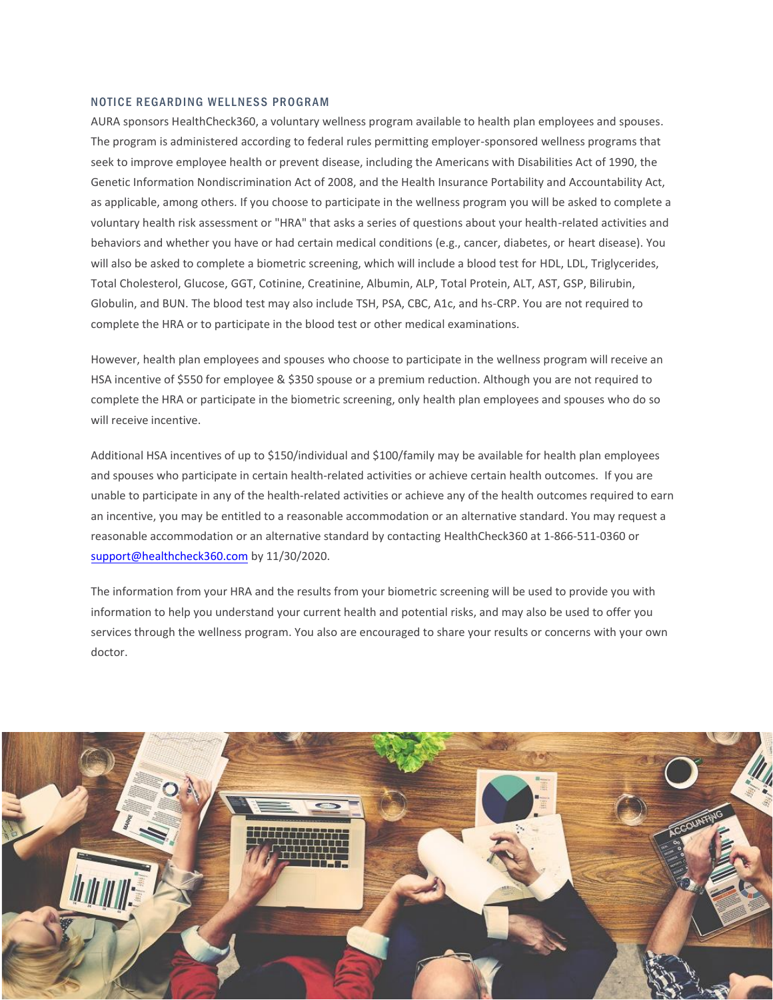## NOTICE REGARDING WELLNESS PROGRAM

AURA sponsors HealthCheck360, a voluntary wellness program available to health plan employees and spouses. The program is administered according to federal rules permitting employer-sponsored wellness programs that seek to improve employee health or prevent disease, including the Americans with Disabilities Act of 1990, the Genetic Information Nondiscrimination Act of 2008, and the Health Insurance Portability and Accountability Act, as applicable, among others. If you choose to participate in the wellness program you will be asked to complete a voluntary health risk assessment or "HRA" that asks a series of questions about your health-related activities and behaviors and whether you have or had certain medical conditions (e.g., cancer, diabetes, or heart disease). You will also be asked to complete a biometric screening, which will include a blood test for HDL, LDL, Triglycerides, Total Cholesterol, Glucose, GGT, Cotinine, Creatinine, Albumin, ALP, Total Protein, ALT, AST, GSP, Bilirubin, Globulin, and BUN. The blood test may also include TSH, PSA, CBC, A1c, and hs-CRP. You are not required to complete the HRA or to participate in the blood test or other medical examinations.

However, health plan employees and spouses who choose to participate in the wellness program will receive an HSA incentive of \$550 for employee & \$350 spouse or a premium reduction. Although you are not required to complete the HRA or participate in the biometric screening, only health plan employees and spouses who do so will receive incentive.

Additional HSA incentives of up to \$150/individual and \$100/family may be available for health plan employees and spouses who participate in certain health-related activities or achieve certain health outcomes. If you are unable to participate in any of the health-related activities or achieve any of the health outcomes required to earn an incentive, you may be entitled to a reasonable accommodation or an alternative standard. You may request a [reasonable accommodation or a](mailto:support@healthcheck360.com)n alternative standard by contacting HealthCheck360 at 1-866-511-0360 or support@healthcheck360.com by 11/30/2020.

The information from your HRA and the results from your biometric screening will be used to provide you with information to help you understand your current health and potential risks, and may also be used to offer you services through the wellness program. You also are encouraged to share your results or concerns with your own doctor.